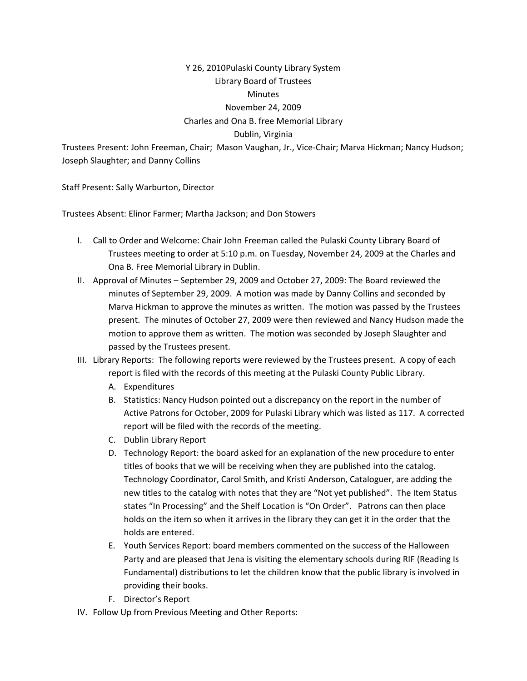## Y 26, 2010Pulaski County Library System Library Board of Trustees **Minutes** November 24, 2009 Charles and Ona B. free Memorial Library Dublin, Virginia

Trustees Present: John Freeman, Chair; Mason Vaughan, Jr., Vice‐Chair; Marva Hickman; Nancy Hudson; Joseph Slaughter; and Danny Collins

Staff Present: Sally Warburton, Director

Trustees Absent: Elinor Farmer; Martha Jackson; and Don Stowers

- I. Call to Order and Welcome: Chair John Freeman called the Pulaski County Library Board of Trustees meeting to order at 5:10 p.m. on Tuesday, November 24, 2009 at the Charles and Ona B. Free Memorial Library in Dublin.
- II. Approval of Minutes September 29, 2009 and October 27, 2009: The Board reviewed the minutes of September 29, 2009. A motion was made by Danny Collins and seconded by Marva Hickman to approve the minutes as written. The motion was passed by the Trustees present. The minutes of October 27, 2009 were then reviewed and Nancy Hudson made the motion to approve them as written. The motion was seconded by Joseph Slaughter and passed by the Trustees present.
- III. Library Reports: The following reports were reviewed by the Trustees present. A copy of each report is filed with the records of this meeting at the Pulaski County Public Library.
	- A. Expenditures
	- B. Statistics: Nancy Hudson pointed out a discrepancy on the report in the number of Active Patrons for October, 2009 for Pulaski Library which was listed as 117. A corrected report will be filed with the records of the meeting.
	- C. Dublin Library Report
	- D. Technology Report: the board asked for an explanation of the new procedure to enter titles of books that we will be receiving when they are published into the catalog. Technology Coordinator, Carol Smith, and Kristi Anderson, Cataloguer, are adding the new titles to the catalog with notes that they are "Not yet published". The Item Status states "In Processing" and the Shelf Location is "On Order". Patrons can then place holds on the item so when it arrives in the library they can get it in the order that the holds are entered.
	- E. Youth Services Report: board members commented on the success of the Halloween Party and are pleased that Jena is visiting the elementary schools during RIF (Reading Is Fundamental) distributions to let the children know that the public library is involved in providing their books.
	- F. Director's Report
- IV. Follow Up from Previous Meeting and Other Reports: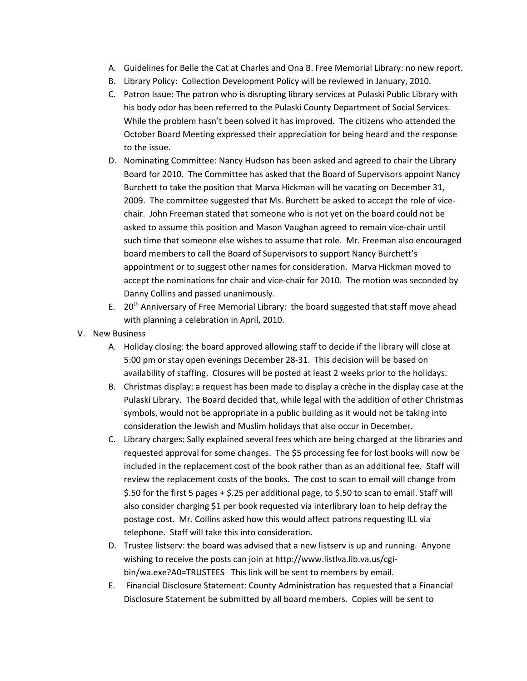- A. Guidelines for Belle the Cat at Charles and Ona B. Free Memorial Library: no new report.
- B. Library Policy: Collection Development Policy will be reviewed in January, 2010.
- C. Patron Issue: The patron who is disrupting library services at Pulaski Public Library with his body odor has been referred to the Pulaski County Department of Social Services. While the problem hasn't been solved it has improved. The citizens who attended the October Board Meeting expressed their appreciation for being heard and the response to the issue.
- D. Nominating Committee: Nancy Hudson has been asked and agreed to chair the Library Board for 2010. The Committee has asked that the Board of Supervisors appoint Nancy Burchett to take the position that Marva Hickman will be vacating on December 31, 2009. The committee suggested that Ms. Burchett be asked to accept the role of vice‐ chair. John Freeman stated that someone who is not yet on the board could not be asked to assume this position and Mason Vaughan agreed to remain vice-chair until such time that someone else wishes to assume that role. Mr. Freeman also encouraged board members to call the Board of Supervisors to support Nancy Burchett's appointment or to suggest other names for consideration. Marva Hickman moved to accept the nominations for chair and vice‐chair for 2010. The motion was seconded by Danny Collins and passed unanimously.
- E.  $20<sup>th</sup>$  Anniversary of Free Memorial Library: the board suggested that staff move ahead with planning a celebration in April, 2010.
- V. New Business
	- A. Holiday closing: the board approved allowing staff to decide if the library will close at 5:00 pm or stay open evenings December 28‐31. This decision will be based on availability of staffing. Closures will be posted at least 2 weeks prior to the holidays.
	- B. Christmas display: a request has been made to display a crèche in the display case at the Pulaski Library. The Board decided that, while legal with the addition of other Christmas symbols, would not be appropriate in a public building as it would not be taking into consideration the Jewish and Muslim holidays that also occur in December.
	- C. Library charges: Sally explained several fees which are being charged at the libraries and requested approval for some changes. The \$5 processing fee for lost books will now be included in the replacement cost of the book rather than as an additional fee. Staff will review the replacement costs of the books. The cost to scan to email will change from \$.50 for the first 5 pages + \$.25 per additional page, to \$.50 to scan to email. Staff will also consider charging \$1 per book requested via interlibrary loan to help defray the postage cost. Mr. Collins asked how this would affect patrons requesting ILL via telephone. Staff will take this into consideration.
	- D. Trustee listserv: the board was advised that a new listserv is up and running. Anyone wishing to receive the posts can join at http://www.listlva.lib.va.us/cgibin/wa.exe?A0=TRUSTEES This link will be sent to members by email.
	- E. Financial Disclosure Statement: County Administration has requested that a Financial Disclosure Statement be submitted by all board members. Copies will be sent to